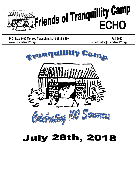

P.O. Box 6469 Monroe Township, NJ 08831-6469 **Fall www.FriendsofTY.org email: Info@FriendsofTY.org**

**l 2017**



# **July 28th, 2018**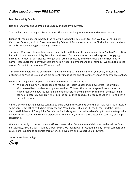Dear Tranquillity Family,

Lisa and I wish you and your families a happy and healthy new year.

Tranquillity Camp had a great 99th summer. Thousands of happy camper memories were created.

Friends of Tranquillity Camp hosted the following events this past year: Our first Walk with Tranquillity Camp last October, a trip to Broadway to enjoy School of Rock, a very successful Florida luncheon, and our secondSaturday evening pre-Visiting Day dinner.

This year's Walk with Tranquillity Camp is being held on October 8th, simultaneously in Pinellas Park & Boca Raton Florida, Atlanta, and Alley Pond Park in Queens. Our events serve the dual purpose of engaging an increasing number of participants to enjoy each other's company and to increase our contributions for Camp. Please note that our volunteers are not only board members and their families. We are not a closed group. Please join our group of TY supporters!

This year we celebrated the children of Tranquillity Camp with a mid-summer yearbook, printed and distributed on Visiting Day, and we are currently finalizing the end of summer version to be available online.

Friends of Tranquillity Camp was able to achieve several goals this year:

- We opened our newly expanded and renovated Health Center and a new Street Hockey Rink.
- Our beloved Barn has been completely re-sided. This was the second stage of its renovation; last year it received a new foundation and understructure. By the end of the summer the new siding started to naturally turn gray. Well into the barn's third century, it is ready to usher in Tranquillity's second century.

Camp's enrollment and finances continue to build upon improvements over the last few years, as a result of some very heavy lifting by Richard Lawrence and Marc Cohn, Richie and Sherrie Lerner, and the tireless Camp staff. Friends of Tranquillity Camp is the fundraising arm that will enable Camp to continue to provide wonderful life lessons and summer experiences for children, including those attending courtesy of camp scholarships.

We are now ready to concentrate our efforts towards the 100th Summer Celebration, to be held at Camp on Saturday, July 28, 2018. It will be a great event. We look forward to greeting many former campers and counselors reuniting to celebrate this historic achievement and support Camp's future.

Yours in Noblesse Oblige,

*Cary*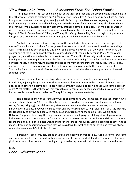#### *View from Lake Pearl………A Message From The Cohen Family*

This past summer, as I sat and looked out at the grass so green and the sky so blue, it amazed me to think that we are going to celebrate our 100<sup>th</sup>summer at Tranquillity. Almost a century ago, Elias A. Cohen brought ten boys, and later ten girls, to enjoy the little farm upstate. Here we are, enjoying those same fields, yet many more houses and buildings, blessed to be a part of not only the Tranquillity history but also the Tranquillity family. Regardless of whether you attended camp as a camper, staff member or worker, visited camp, or donated time and/or money – you all play a vital role in ensuring the continuation of the legacy of Elias A. Cohen, Pearl C. Miller, and Tranquillity Camp. Tranquillity Camp brought us together and has given us a bond that is truly immeasurable, special, and what most would call magical.

So that others may continue to experience this wonderful place, we all need to work together to ensure Tranquillity Camp is there for the generations to come. You all know the cliché - it takes a village; well, it is true! No one person can do this alone. Some of you may recall that the Cohen family gave the greater part of the fiscal support before the Alumni/Friends of Tranquility began in 1953. As the years progressed, a portion of the family continued to support Tranquillity financially. As time went on, more funding sources were required to meet the fiscal necessities of running Tranquillity. We found ways to meet our fiscal needs, including relying on gifts and donations from our magnificent Tranquillity family. Today, our future success requires every one of us to do what we can to propagate the superb history of Tranquillity Camp. It is up to all of us to give innumerable more kids a chance to appreciate our beloved summer haven.

Yes, our summer haven: the place where we became better people while creating lifelong friendships, enjoying the glorious warmth of summer. It does not matter in the scheme of things if we do not see each other on a daily basis. It does not matter that we have not been in touch with some people in years. What matters is that those we met through our TY camp experience enhanced our lives and we are better people due to those experiences. Tranquillity shaped who we are today.

It is exciting to know that Tranquillity will be celebrating its  $100<sup>th</sup>$  camp season one year from now. I genuinely hope there are 100 more. I humbly ask you to do what you can to guarantee our camp has a strong future, bringing joy to children long after we are only memories. Always remember, your participation is valued. If you would like to help, and are not sure how to help, please just ask. My dream is for Tranquillity to always be filled with happy boys and girls learning the same lessons we did about Noblesse Oblige and living together in peace and harmony, developing the lifelong friendships we were lucky to experience. I hope tomorrow's children will take these same lessons to heart and do what they can for others in the spirit of Noblesse Oblige and for the future of Tranquillity Camp. Pearl used to say, "And so it goes...from one generation to other." May we pass down the best parts of our lives, and may we always remember - we are all God's little children.

Personally, I am profoundly proud of you all and deeply honored to know such a variety of awesome and inspiring people. Thank you all for being part of my life and a wonderful part of Tranquillity's long and glorious history. I look forward to creating many more happy times with all of you and wish you the best.

#### Love, *Cheryl Schwartz Janer*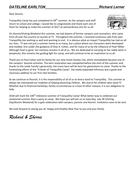#### *DATELINE EARLTON\_\_\_\_\_\_\_\_\_\_\_\_\_\_\_\_\_\_\_\_\_\_\_\_\_\_\_Richard Lerner* .

Dear Alumni,

Tranquillity Camp has just completed its  $99<sup>th</sup>$  summer. As the campers and staff return to school and college, I would like to congratulate and thank each one of them for helping to make the summer of 2017 an extraordinary one for us all.



On Alumni/Visiting Weekend this summer, we had dozens of former campers and counselors, who came from all over the country to reunite at TY. Throughout the summer, I received numerous calls from past Tranquillity-ites wishing us well and wanting to visit. It is obvious what an impact Tranquillity has had on all our lives. TY was not just a summer home to so many, but a place where our characters were developed and molded, first under the guidance of Elias A. Cohen, and for many of us by the influence of Pearl Miller. Although Pearl is gone, her memory remains in all of us. We are dedicated to carrying on her noble work in perpetuity. She remains the guiding light for camp, and will continue to be an inspiration to us all.

Thank you to Paul Cohen and his family for our new street hockey rink, which immediately became one of the campers' favorite activities. The barn restoration was completed before the start of the summer and, thanks to the Leeds Family's generosity, the iconic barn will be here for generations to come. Thanks to the fundraising efforts of the "Friends of Tranquillity Camp", the newly expanded infirmary was a great and necessary addition to our first-rate facilities.

As we continue to flourish, it is the responsibility of all of us to lend a hand to Tranquillity. This summer as always we maintained our tradition of helping deserving children. We search for children who need TY. Whether due to financial hardships, family circumstances or a host of other reasons, it is our obligation to help.

2018 will mark the 100<sup>th</sup> milestone summer of Tranquillity Camp! What better way to celebrate our centennial summer than a party at camp. We hope you will join us on Saturday, July 28 (Visiting Day/Alumni Weekend) for a gala celebration with campers, parents and Alumni. Invitations soon to be sent.

We look forward to seeing you all. Happy and Healthy New Year to you and your family.

### *Richard & Sherrie*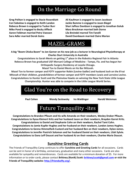## On the Marriage Go Round

Greg Politan is engaged to Stacie Rosenblatt Ali Kaufman is engaged to Jason Jacobson **Cori Sobolow is engaged to Keith Landon Jackie Bamme is engaged to Jason Biegel Mike Pond is engaged to Becky Affleck Mara Brockman married Seth Dorne Aaron Feldman married Petra Vaessen Lila Breindel marred Tim Fanelli Sara Adler married Derek Goins David Eisenbaum married Claire Marian**

Rebecca Brown is engaged to Tucker Burr Shari Jaffess Davidson is engaged to Jonathan Golub

MAZEL-GRAMS

A big "Boom Chicka Boom" to Jon Garner on his new job as a lecturer in Neurological Physiotherapy at **Charles Sturt University in Australia** 

Congratulations to Sarah Menis on getting 1<sup>st</sup> place in the Robotics Regional Fair in Atlanta **Rebecca Brown has graduated USF Morsani College of Medicine - Tampa, Fla. and has begun her Orthopedic Surgery Residency at Loyola Chicago.**

**Mazel Tov to Daniel Menis on his Bar Mitzvah.** 

**Mazel Tov to former camper and FOTY supporter Robin (Levine-Sadler) and husband Josh on the B'nai** Mitzvah of their children, grandchildren of former camper and FOTY members Lewis and Lorraine Levine. **Congratulations to Hunter Scott and the Plainview Hawks on winning the New York State Little League** Championship. Hunter was able to compete in the Little League World Series.

# Glad You're on the Road to Recovery

**Paul Cohen Wendy Seslowsky Ira Waldinger Harold Weinman**

## Future Tranquility -ites

Congratulations to Brandon Pflaum and his wife Amanda on their newborn, Wesley Draker Pflaum. **Congratulations to Ilyssa Kleinert Kritz and her husband Jason on their newborn, Brayden Garret Kritz.** 

**Congratulations to Daniel and Stephanie Cohn on their newborn, Rachel Tami Cohn.** Congratulations to Jamie Kupfer Hughes and her husband on their newborn, Landon James Hughes. Congratulations to Genna Himmelfarb Custard and her husband Ben on their newborn, Dylan James. Congratulations to Jennifer Pastrich Solomon and her husband Daniel on their newborn, Lilah Sylvie. Congratulations to Dana Leff Doucet and her husband AJ on their newborn, Charlee Marie Doucet.

#### **Sunshine Greeting Cards**

The Friends of Tranquillity Camp continues to offer **Sunshine and Greeting Cards** for all occasions. Cards can be sent in honor of a birthday, anniversary, graduation and many other occasions. Cards are also available for sympathy and remembrances. Cards are available for a minimum donation of \$5. For more information or to order cards, please contact Brittney (Ronik) Scott: brittney1scott@gmail.com or visit the Friends of Tranquillity website: http://friendsofty.org/.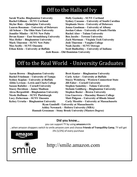## Off to the Halls of Ivy

**Sarah Wachs- Binghamton University Holly Gozinsky - SUNY Cortland Skylar Ruiz – Quinnipiac University Stephanie Stern – University of Delaware Lauren Rossman – University of Delaware Jenna Goodman – University of Albany Jennifer Mindes – SUNY New Paltz Rachel Aber – Tulane University Devan Kaner – East Stroudsburg University Ben Jacobs – Towson University Mark Thurston – SUNY New Paltz Josh Thurston – Vaughn College Max Scelfo – SUNY Oneonta Noah Jacobs – SUNY Oswego Ethan Klein – University at Buffalo Scott Budkofsky – University of Indiana**

**Rachel Gillman – SUNY Cortland Sydney Cassano – University of South Carolina Ali Schear – The Ohio State University Jordan Cohen – University of South Florida Max Heller – Binghamton University Zach Mortman – Virginia Tech University Josh Rosen – Old Dominion University**

## Off to the Real World - University Graduates

**Aaron Brown – Binghamton University Brett Kanter – Binghamton University Rachel Friedman – University of Tampa Carly Acker – University at Buffalo Abbie Levison - Lewis and Clark College Jill Faber – Cornell University Sasson Rafailov – Cornell University Stephen Samolsky – Tulane University Alexa Bergenfeld – Binghamton University Stephen Bozier – Brown University**

**Sydney Kaplan - University at Buffalo Stacey Weinberg – Western Connecticut State Stacey Davidson – James Madison Stefanie Goldberg – Binghamton University Nicole Hoffman – SUNY Plattsburgh Lisa Guerrera – Macaulay Honors College Lucy Zicherman – SUNY Oneonta Matt Pidgeon – University of Rhode Island Kelsey Urrutia - Binghamton University Carly Messitte – University at Massachusetts Ryan Gandolfi - University at Massachusetts Ashley Newmark – Hofstra University (MBA) Hannah Grossman – Stony Brook University (Masters Degree)**

**Did you know…**

you can support TY by using **amazon**smile

...when amazon shoppers switch to smile.amazon.com and choose **Friends of Tranquillity Camp**, TY will get  $.5\%$  (1/2%) of every purchase



 $S<sub>m</sub>$ 

### http://smile.amazon.com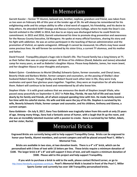## In Memoriam

Garrett Kassler – former TY Alumni, beloved son, brother, nephew, grandson and friend, was taken from us too soon on February 4th of this year at the tender age of 26. He will always be remembered for his enlightening smile and his unique ability to offer a kind word of support, his friendship, and his desire to **help others. He attended SUNY Oswego and Nassau Community College, where he made the Dean's List.** Garrett enlisted in the USMC in 2014, but due to an injury was discharged before he could finish his commitment. In 2015 and 2016, Garrett volunteered his time to promote drug prevention and awareness for the Nassau County Executive, Ed Mangano. He spoke at many official functions, sharing his story and his fight with addiction. He was an active participant in the teaching of Narcan administration and the promotion of Vivitrol, an opiate antagonist. Although it cannot be measured, his efforts may have saved some precious lives. He will forever be survived by his sister Erica, a current TY alumnus, and his mother **and father.**

David Freund - Tranquillity played a huge role in David's life. The Freund family has a long history at TY, as their father Alex was an original camper. All three of his children (David, Babette and James) attended **camp for many years, as well as Babette's daughter Alyssa. Please keep Babette, James, her mom Jewel,** and her daughter Alyssa in your thoughts and prayers.

Robert Quinn - Condolences to Muriel (Shelby) Schwartz Quinn, former counselor, and Cheryl Janer, Beverly Vitale and Barbara Weiler, former campers and counselors, on the passing of Shelby's dear husband Robert Quinn. Though Shelby and Robert found each other later in life, they were truly soulmates and spent four glorious years together. Together, they were an inspiration for all who knew **them.** Robert will continue to be loved and remembered by all who knew him.

**Stephen Vitale - It is with great sadness that we announce the death of Stephen Joseph Vitale, who passed away peacefully on September 4, 2017 in Palm Bay, Florida. He was full of life and was loved** dearly by his family and friends, all of whom enjoyed spending time with him. He made family events a fun time with his colorful stories. His wife and kids were the joy of his life. Stephen is survived by his **wife, Beverly Schwartz Vitale, former camper and counselor, and his children, Anthony and Gianna, a**  current camper.

**Ilana Goldstein - On July 9, 2017, Ilana Tess Goldstein was tragically taken from this earth at only 25 years** of age. Among many things, Ilana had a fantastic sense of humor, with a laugh that lit up the room, and she was an incredibly talented musician with a passion to create. Ilana is survived by her father, Adam, **and her sister, Rachel.**

## **Memorial Bricks**

**Engraved Bricks are currently being sold to help support Tranquillity Camp. Bricks can be engraved to** honor your family, Alumni members, and current campers and will be placed around Pearl C. Miller's **Memorial Tree.**

Bricks are available in two sizes, at two donation levels. There is a 4" x 8" brick, which can be personalized with 3 lines of text with 13 letters per line. These bricks require a minimum donation of \$100. The larger brick is 8" x 8" and will support 5 lines of text, and will require a minimum donation of **\$500. Please add to this project and help support Tranquillity.**

**If you wish to purchase a brick to add to the walk, please contact Richard Lerner, or go to** http://www.friendsofty.org/please-contribute. Pearl's Memorial Walk is located in front of the Pearl C. Miller **Sports Center and currently has over 100 Tranquillity personalized bricks.**